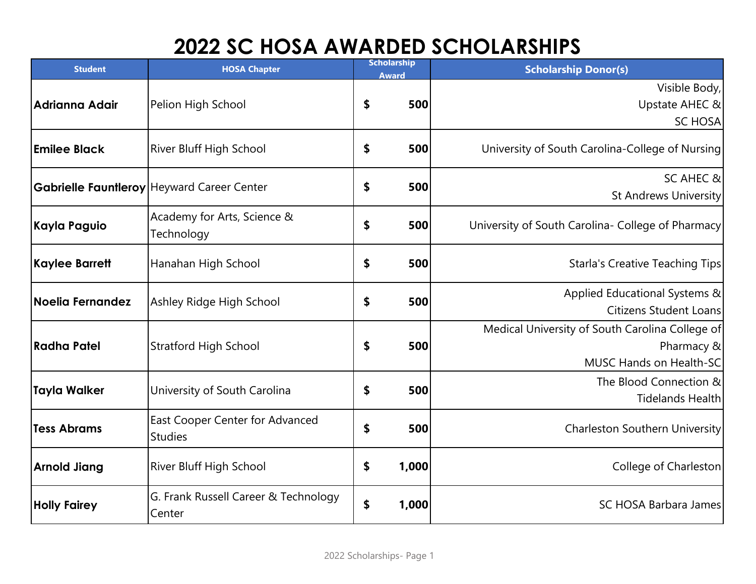## **2022 SC HOSA AWARDED SCHOLARSHIPS**

| <b>Student</b>          | <b>HOSA Chapter</b>                               | <b>Scholarship</b><br><b>Award</b> |       | <b>Scholarship Donor(s)</b>                                                              |
|-------------------------|---------------------------------------------------|------------------------------------|-------|------------------------------------------------------------------------------------------|
| Adrianna Adair          | Pelion High School                                | \$                                 | 500   | Visible Body,<br>Upstate AHEC &<br><b>SC HOSA</b>                                        |
| <b>Emilee Black</b>     | River Bluff High School                           | \$                                 | 500   | University of South Carolina-College of Nursing                                          |
|                         | Gabrielle Fauntleroy Heyward Career Center        | \$                                 | 500   | <b>SC AHEC &amp;</b><br>St Andrews University                                            |
| Kayla Paguio            | Academy for Arts, Science &<br>Technology         | \$                                 | 500   | University of South Carolina- College of Pharmacy                                        |
| <b>Kaylee Barrett</b>   | Hanahan High School                               | \$                                 | 500   | Starla's Creative Teaching Tips                                                          |
| <b>Noelia Fernandez</b> | Ashley Ridge High School                          | \$                                 | 500   | Applied Educational Systems &<br>Citizens Student Loans                                  |
| <b>Radha Patel</b>      | <b>Stratford High School</b>                      | \$                                 | 500   | Medical University of South Carolina College of<br>Pharmacy &<br>MUSC Hands on Health-SC |
| <b>Tayla Walker</b>     | University of South Carolina                      | \$                                 | 500   | The Blood Connection &<br>Tidelands Health                                               |
| <b>Tess Abrams</b>      | East Cooper Center for Advanced<br><b>Studies</b> | \$                                 | 500   | Charleston Southern University                                                           |
| <b>Arnold Jiang</b>     | River Bluff High School                           | \$                                 | 1,000 | College of Charleston                                                                    |
| <b>Holly Fairey</b>     | G. Frank Russell Career & Technology<br>Center    | \$                                 | 1,000 | SC HOSA Barbara James                                                                    |